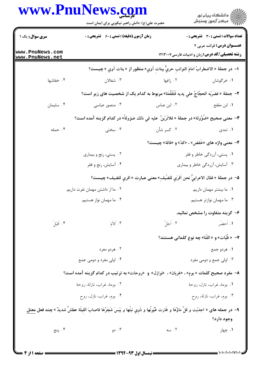|                                    | www.PnuNews.com<br>حضرت علی(ع): دانش راهبر نیکویی برای ایمان است                                                                             |                                     | ِ<br>∭ دانشڪاه پيام نور<br>∭ مرڪز آزمون وسنڊش                                                        |
|------------------------------------|----------------------------------------------------------------------------------------------------------------------------------------------|-------------------------------------|------------------------------------------------------------------------------------------------------|
| سری سوال: یک ۱                     | زمان آزمون (دقیقه) : تستی : 60 - تشریحی : 0                                                                                                  |                                     | <b>تعداد سوالات : تستي : 30 ٪ تشريحي : 0</b>                                                         |
| www.PnuNews.com<br>www.PnuNews.net |                                                                                                                                              |                                     | <b>عنـــوان درس:</b> قرائت عربی ۲<br><b>رشته تحصیلی/کد درس:</b> زبان و ادبیات فارسی ۱۲۱۳۰۰۷          |
|                                    |                                                                                                                                              |                                     | ا– در جملهٔ « الاضطرابُ امامَ النوائبِ حريٌّ ببنات آوي» منظور از « بنات آوي » چيست؟                  |
| ۰۴ خفاشها                          |                                                                                                                                              | ۲. زاغها مستخدم استخدالان استخدالان | ۰۱ خرگوشان                                                                                           |
|                                    | ٢- جملة « فضَرَبَه الحجَّاجُ على يديه فَتَفَفَّعَتا» مربوط به كدام يک از شخصيت هاى زير است؟                                                  |                                     |                                                                                                      |
| ۰۴ سلیمان                          | ۰۳ منصور عباسی                                                                                                                               |                                     | ۰۱ ابن مقفع مسلم است است عباس است مع است است مقفع مسلم است الله عباس الله عباس الله عباس الله عباس ا |
|                                    | ٣- معنى صحيح «ضُؤُولة» در جملة « فلاتَرَيَنَّ عليه فى ذلك ضؤولةً» در كدام گزينه آمده است؟                                                    |                                     |                                                                                                      |
| ۰۴ حمله                            | ۰۳ سختی                                                                                                                                      | ۰۲ کسر شأن                          | ۰۱ تندی است.                                                                                         |
|                                    |                                                                                                                                              |                                     | ۴- معنی واژه های «خَفض» ، «کدّ» و «فاقة» چیست؟                                                       |
|                                    | ۰۲ پستي، رنج و بيماري                                                                                                                        |                                     | ۰۱ پستی، آزردگی خاطر و فقر                                                                           |
|                                    | ۰۴ آسایش، رنج و فقر                                                                                                                          |                                     | ۰۳ آسایش، آزردگی خاطر و بیماری                                                                       |
|                                    |                                                                                                                                              |                                     | ۵−  در جملهٔ « فقال الاعرابیُّ نحن اَقرَي للضّيفِ» معنى عبارت « اقري للضيف» چيست؟                    |
|                                    | ۰۲ ما از داشتن مهمان نفرت داریم.                                                                                                             |                                     | ٠١ ما بيشتر مهمان داريم.                                                                             |
|                                    | ۰۴ ما مهمان نواز هستیم.                                                                                                                      |                                     | ۰۳ ما مهمان نوازتر هستیم.                                                                            |
|                                    |                                                                                                                                              |                                     | ۶– گزینه متفاوت را مشخص نمائید.                                                                      |
| ۴. اَقْبَلَ                        | $\widetilde{N}$ الأَمَ                                                                                                                       | ۰۲ اَجَلَّ                          | ١. اَحضَر                                                                                            |
|                                    |                                                                                                                                              |                                     | <b>٧</b> — « ظُبَات» و « القَنَا» چه نوع كلماتى هستند؟                                               |
|                                    | ۰۲ هردو مفرد                                                                                                                                 |                                     | ١. هردو جمع                                                                                          |
|                                    | ۰۴ اولی مفرد و دومی جمع                                                                                                                      |                                     | ۰۳ اولی جمع و دومی مفرد                                                                              |
|                                    | ۸–  مفرد صحیح کلمات « بوم» ، «غربان» ،  «نوازل» و  «روحات» به تر تیب در کدام گزینه آمده است؟                                                 |                                     |                                                                                                      |
|                                    | ۰۲ بومة، غراب، نازلة، روحة                                                                                                                   |                                     | ٠١ بومة، غراب، نازل، روحة                                                                            |
|                                    | ۰۴ بوم، غراب، نازل، روح                                                                                                                      |                                     | ۰۳ بوم، غراب، نازلة، روح                                                                             |
|                                    | ۹– در جمله های « اجدَبَت و قلَّ ماؤُهَا و غَارت عُيُونُها و ذَوِي نبتُها و يَبَسَ شَجَرُهَا فاصابَ الفِيلَة عطشٌ شديدٌ » چند فعل <u>معتل</u> |                                     | وجود دارد؟                                                                                           |
| ۰۴ پنج                             | ۰۳ دو                                                                                                                                        | ۰۲ سه                               | ۰۱ چهار                                                                                              |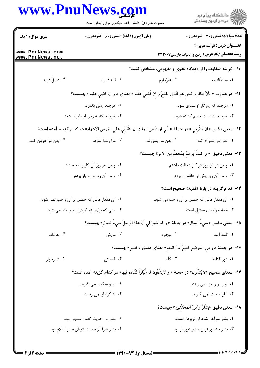|                                    | www.PnuNews.com<br>حضرت علی(ع): دانش راهبر نیکویی برای ایمان است                                                                 |             | ِ<br>∭ دانشڪاه پيام نور<br>∭ مرڪز آزمون وسنڊش                                        |
|------------------------------------|----------------------------------------------------------------------------------------------------------------------------------|-------------|--------------------------------------------------------------------------------------|
| <b>سری سوال :</b> ۱ یک             | <b>زمان آزمون (دقیقه) : تستی : 60 ٪ تشریحی : 0</b>                                                                               |             | <b>تعداد سوالات : تستی : 30 ٪ تشریحی : 0</b>                                         |
| www.PnuNews.com<br>www.PnuNews.net |                                                                                                                                  |             | <b>عنـــوان درس:</b> قرائت عربی ۲<br>رشته تحصیلی/کد درس: زبان و ادبیات فارسی ۱۲۱۳۰۰۷ |
|                                    |                                                                                                                                  |             | <b>۰۱</b> - گزینه متفاوت را از دیدگاه نحوی و مفهومی، مشخص کنید؟                      |
| ۴. فَضلُ قوته                      | ۰۳ ليلة قمراء                                                                                                                    | ۰۲ غیرٌملوم | ١. ملك ُالفيلة                                                                       |
|                                    | 11− در عبارت « فأنَّ طالبَ الحقِّ هو الَّذي يفلحُ و اِن قُضيَ عليه » معناى « و ان قضي عليه » چيست؟                               |             |                                                                                      |
|                                    | ۰۲ هرچند زمان بگذرد.                                                                                                             |             | ۰۱ هرچند که روزگار او سپری شود.                                                      |
|                                    | ۰۴ هرچند که به زیان او داوری شود.                                                                                                |             | ۰۳ هرچند به دست خصم کشته شود.                                                        |
|                                    | 1 <b>٢</b> – معنى دقيق « ان يَنقُرِنَي » در جملة « انِّي اريدُ من الملكِ ان يَنقُرِنَي علي رؤوس الاشهاد» در كدام گزينه آمده است؟ |             |                                                                                      |
| ۰۴ بدن مرا عریان کند.              | ۰۳ مرا رسوا سازد.                                                                                                                |             | ٠١ بدن مرا سوراخ كند. مسمع ٢٠ بدن مرا بسوزاند.                                       |
|                                    |                                                                                                                                  |             | <b>۱۳</b> − معنی دقیق  « و کنتُ یومئذٍ بمَحضَرٍمن الامرِ» چیست؟                      |
|                                    | ۰۲ و من هر روز آن کار را انجام دادم.                                                                                             |             | ۰۱ و من در آن روز در کار دخالت داشتم.                                                |
|                                    | ۰۴ و من آن روز در دربار بودم.                                                                                                    |             | ۰۳ و من آن روز یکی از حاضران بودم.                                                   |
|                                    |                                                                                                                                  |             | <b>۱۴</b> – کدام گزینه در بارهٔ «فدیه» صحیح است؟                                     |
|                                    | ۰۲ آن مقدار مالی که خمس بر آن واجب نمی شود.                                                                                      |             | ۰۱ آن مقدار مالی که خمس بر آن واجب می شود.                                           |
|                                    | ۰۴ مالی که برای آزاد کردن اسیر داده می شود.                                                                                      |             | ۰۳ همهٔ خونبهای مقتول است.                                                           |
|                                    | 1۵−  معنى دقيق « سيءَ الحال» در جملهٔ « و قد ظهرَ لي اَنَّ هذا الرجلَ سيءَ الحالِ» چيست؟                                         |             |                                                                                      |
| ۰۴ بد ذات                          | ۰۳ مريض                                                                                                                          | ۰۲ بیچاره   | ۰۱ گناه آلود                                                                         |
|                                    |                                                                                                                                  |             | 1۶− در جملة « و في الموضع قطيعٌ منَ الغُنَمِ» معناى دقيق « قطيع» چيست؟               |
| ۰۴ شیرخوار                         | ۰۳ قسمتی                                                                                                                         | ۰۲ گلّه     | ۰۱ دور افتاده                                                                        |
|                                    | ١٧-  معناى صحيح «لايَشُقُون» در جملهٔ « و لايَشُقُون له غُبَاراً لنَفَاذه فيها» در كدام گزينه آمده است؟                          |             |                                                                                      |
|                                    | ۰۲ بر او سخت نمی گیرند.                                                                                                          |             | ۰۱ او را بر زمین نمی زنند.                                                           |
|                                    | ۰۴ به گرد او نمی رسند.                                                                                                           |             | ۰۳ آنان سخت نمی گیرند.                                                               |
|                                    |                                                                                                                                  |             | 1 <b>۸</b> − معنى دقيق «بشّارٌ رأسُ المحَدِّثين» چيست؟                               |
|                                    | ۰۲ بشار در حدیث گفتن مشهور بود.                                                                                                  |             | ٠١ بشار سرآغاز شاعران نوپرداز است.                                                   |
|                                    | ۰۴ بشار سرأغاز حديث گويان صدر اسلام بود.                                                                                         |             | ۰۳ بشار مشهور ترین شاعر نوپرداز بود.                                                 |
|                                    |                                                                                                                                  |             |                                                                                      |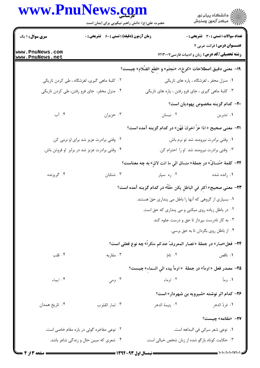|                                    | www.PnuNews.com<br>حضرت علی(ع): دانش راهبر نیکویی برای ایمان است |                                                                          | ر دانشگاه پيام نور<br>ا∛هرکز آزمون وسنجش                                     |
|------------------------------------|------------------------------------------------------------------|--------------------------------------------------------------------------|------------------------------------------------------------------------------|
| <b>سری سوال : ۱ یک</b>             | زمان آزمون (دقیقه) : تستی : 60 ٪ تشریحی : 0                      |                                                                          | <b>تعداد سوالات : تستی : 30 ٪ تشریحی : 0</b>                                 |
| www.PnuNews.com<br>www.PnuNews.net |                                                                  |                                                                          | عنــوان درس: قرائت عربی ۲<br>رشته تحصیلی/کد درس: زبان و ادبیات فارسی ۱۲۱۳۰۰۷ |
|                                    |                                                                  | 1۹− معنى دقيق اصطلاحات «كوخ»، «مَجثَم» و «قطَع الضَّلام» چيست؟           |                                                                              |
|                                    | ۲. كلبهٔ ماهى گيرى، لغزشگاه ، طى كردن تاريكى                     |                                                                          | ۰۱ منزل محقر ، لغزشگاه ، پاره های تاریکی                                     |
|                                    | ۰۴ منزل محقر، جای فرو رفتن، طی کردن تاریکی                       | ۰۳ کلبهٔ ماهی گیری ، جای فرو رفتن ، پاره های تاریکی                      |                                                                              |
|                                    |                                                                  |                                                                          | <b>۰۲-</b> کدام گزینه مخصوص یهودیان است؟                                     |
| ۰۴ آب                              | ۰۳ حزيران                                                        | ۰۲ نیسان                                                                 | ۰۱ تشرین                                                                     |
|                                    |                                                                  | ا۲−  معنى صحيح « اذا عَزٌ اخوكَ فَهُن» در كدام گزينه آمده است؟           |                                                                              |
|                                    | ۰۲ وقتی برادرت عزیز شد برای او نرمی کن.                          |                                                                          | ۰۱ وقتی برادرت نیرومند شد تو نرم باش.                                        |
|                                    | ۰۴ وقتی برادرت عزیز شد در برابر او فروتن باش.                    |                                                                          | ۰۳ وقتی برادرت نیرومند شد او را احترام کن.                                   |
|                                    |                                                                  | ٢٢- كلمةَ «مُنساقٌ» در جملةَ« منساق الي ما انت لاقٍ» به چه معناست؟       |                                                                              |
| ۰۴ گريزنده                         | ۰۳ شتابان                                                        | ۰۲ ره سپار                                                               | ۰۱ رانده شده                                                                 |
|                                    |                                                                  | ٢٣- معنى صحيح« اَكثِر في الباطلِ يكن حَقّاً» در كدام گزينه آمده است؟     |                                                                              |
|                                    |                                                                  | ٠١ بسياري از گروهي كه آنها را باطل مي پنداري حقّ هستند.                  |                                                                              |
|                                    |                                                                  | ۰۲ در باطل زیاده روی میکنی و می پنداری که حق است.                        |                                                                              |
|                                    |                                                                  | ۰۳ به کار نادرست بپرداز تا حق و درست جلوه کند.                           |                                                                              |
|                                    |                                                                  |                                                                          | ۰۴ از باطل روی بگردان تا به حق برسی.                                         |
|                                    |                                                                  | ٢۴- فعل«صار» در جملة « فصار المعروفُ عندكم منكراً» چه نوع فعلى است؟      |                                                                              |
| ۰۴ قلب                             | ۰۳ مقاربه                                                        | ۲. تامّ                                                                  | ۰۱ ناقص                                                                      |
|                                    |                                                                  | ه <del>7</del> - مصدر فعل « اومأ» در جملة  « اومأ بيده الي السماء» چيست؟ |                                                                              |
| ۰۴ ایماء                           | ۰۳ ومي                                                           | ۰۲ اوماء                                                                 | ۱. ومأ                                                                       |
|                                    |                                                                  |                                                                          | <b>۲۶</b> - کدام اثر نوشته «شیرویه بن شهردار» است؟                           |
| ۰۴ تاريخ همدان                     | ۰۳ ثمار القلوب                                                   | ٠٢ يتيمة الدهر                                                           | 1. فردٌ الدهر                                                                |
|                                    |                                                                  |                                                                          | <b>٣٧-</b> «مَقامه» چیست؟                                                    |
|                                    | ۰۲ نوعی مفاخره گوئی در باره مقام خاصی است.                       |                                                                          | ٠١ نوعي شعر سرائي في البداهه است.                                            |
|                                    | ۰۴ شعری که مبین حال و زندگی شاعر باشد.                           | ۰۳ حکایت کوتاه بازگو شده از زبان شخص خیالی است.                          |                                                                              |